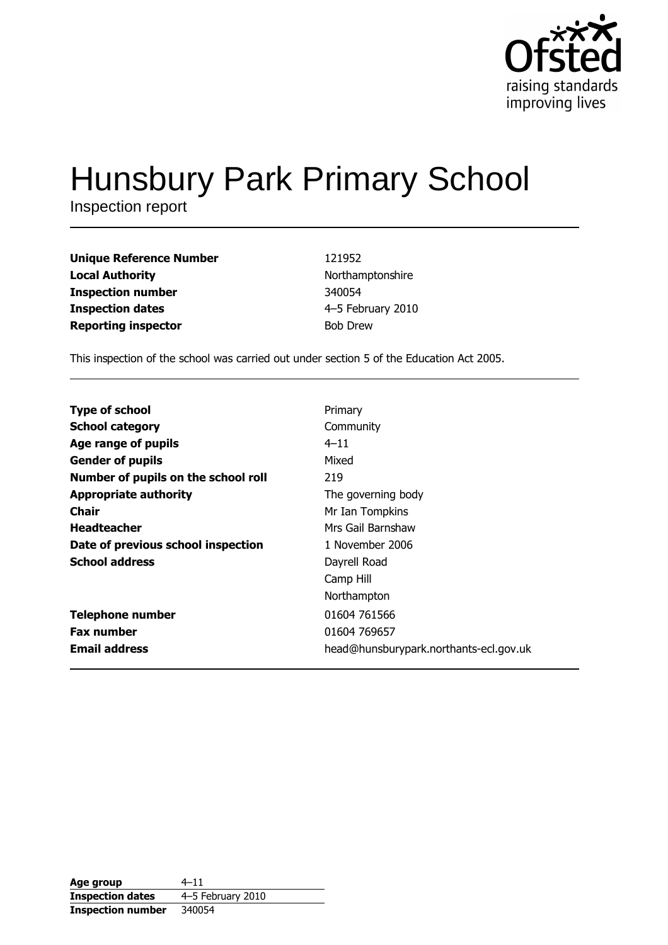

# **Hunsbury Park Primary School**

Inspection report

| <b>Unique Reference Number</b> | 121952            |
|--------------------------------|-------------------|
| <b>Local Authority</b>         | Northamptonshire  |
| <b>Inspection number</b>       | 340054            |
| <b>Inspection dates</b>        | 4-5 February 2010 |
| <b>Reporting inspector</b>     | <b>Bob Drew</b>   |

This inspection of the school was carried out under section 5 of the Education Act 2005.

| <b>Type of school</b>               | Primary                                |
|-------------------------------------|----------------------------------------|
| <b>School category</b>              | Community                              |
| Age range of pupils                 | $4 - 11$                               |
| <b>Gender of pupils</b>             | Mixed                                  |
| Number of pupils on the school roll | 219                                    |
|                                     |                                        |
| <b>Appropriate authority</b>        | The governing body                     |
| Chair                               | Mr Ian Tompkins                        |
| <b>Headteacher</b>                  | Mrs Gail Barnshaw                      |
| Date of previous school inspection  | 1 November 2006                        |
| <b>School address</b>               | Dayrell Road                           |
|                                     | Camp Hill                              |
|                                     | Northampton                            |
| <b>Telephone number</b>             | 01604 761566                           |
| <b>Fax number</b>                   | 01604 769657                           |
| <b>Email address</b>                | head@hunsburypark.northants-ecl.gov.uk |

| Age group                | $4 - 11$          |
|--------------------------|-------------------|
| <b>Inspection dates</b>  | 4-5 February 2010 |
| <b>Inspection number</b> | 340054            |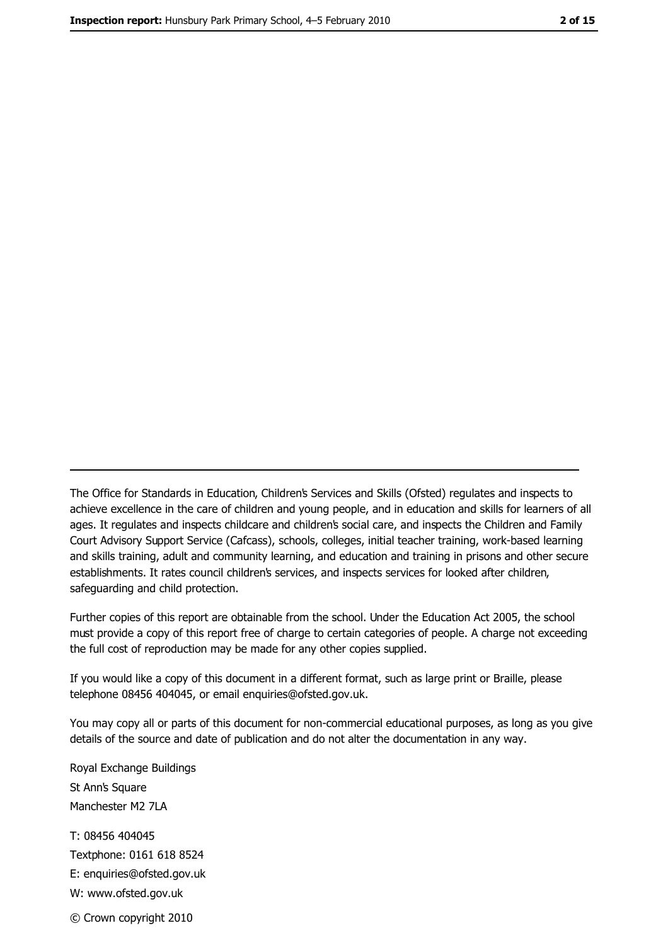The Office for Standards in Education, Children's Services and Skills (Ofsted) regulates and inspects to achieve excellence in the care of children and young people, and in education and skills for learners of all ages. It regulates and inspects childcare and children's social care, and inspects the Children and Family Court Advisory Support Service (Cafcass), schools, colleges, initial teacher training, work-based learning and skills training, adult and community learning, and education and training in prisons and other secure establishments. It rates council children's services, and inspects services for looked after children, safequarding and child protection.

Further copies of this report are obtainable from the school. Under the Education Act 2005, the school must provide a copy of this report free of charge to certain categories of people. A charge not exceeding the full cost of reproduction may be made for any other copies supplied.

If you would like a copy of this document in a different format, such as large print or Braille, please telephone 08456 404045, or email enquiries@ofsted.gov.uk.

You may copy all or parts of this document for non-commercial educational purposes, as long as you give details of the source and date of publication and do not alter the documentation in any way.

Royal Exchange Buildings St Ann's Square Manchester M2 7LA T: 08456 404045 Textphone: 0161 618 8524 E: enquiries@ofsted.gov.uk W: www.ofsted.gov.uk © Crown copyright 2010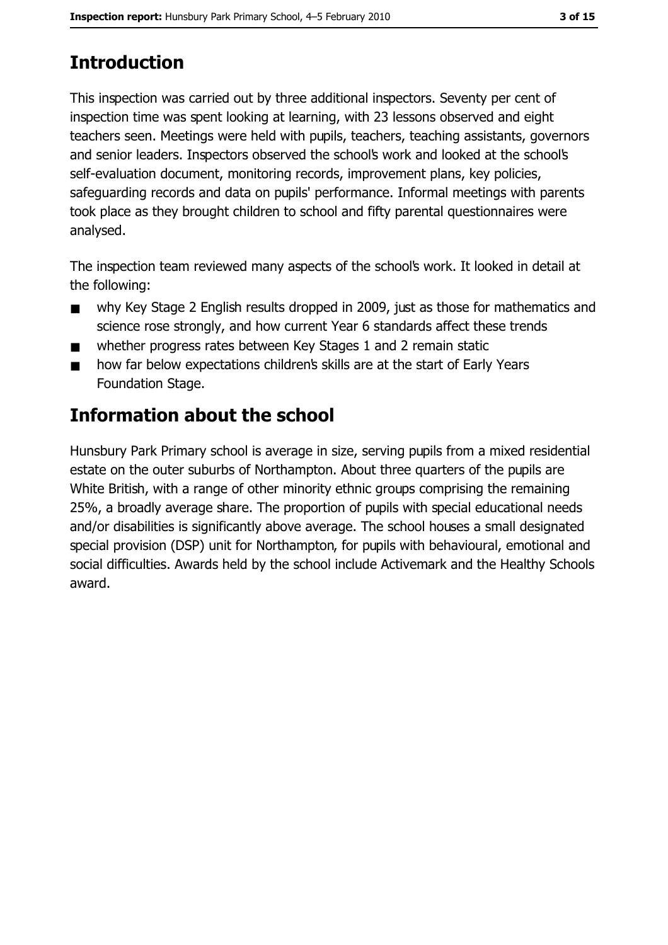# **Introduction**

This inspection was carried out by three additional inspectors. Seventy per cent of inspection time was spent looking at learning, with 23 lessons observed and eight teachers seen. Meetings were held with pupils, teachers, teaching assistants, governors and senior leaders. Inspectors observed the school's work and looked at the school's self-evaluation document, monitoring records, improvement plans, key policies, safeguarding records and data on pupils' performance. Informal meetings with parents took place as they brought children to school and fifty parental questionnaires were analysed.

The inspection team reviewed many aspects of the school's work. It looked in detail at the following:

- why Key Stage 2 English results dropped in 2009, just as those for mathematics and  $\blacksquare$ science rose strongly, and how current Year 6 standards affect these trends
- whether progress rates between Key Stages 1 and 2 remain static  $\blacksquare$
- how far below expectations children's skills are at the start of Early Years  $\blacksquare$ Foundation Stage.

# Information about the school

Hunsbury Park Primary school is average in size, serving pupils from a mixed residential estate on the outer suburbs of Northampton. About three quarters of the pupils are White British, with a range of other minority ethnic groups comprising the remaining 25%, a broadly average share. The proportion of pupils with special educational needs and/or disabilities is significantly above average. The school houses a small designated special provision (DSP) unit for Northampton, for pupils with behavioural, emotional and social difficulties. Awards held by the school include Activemark and the Healthy Schools award.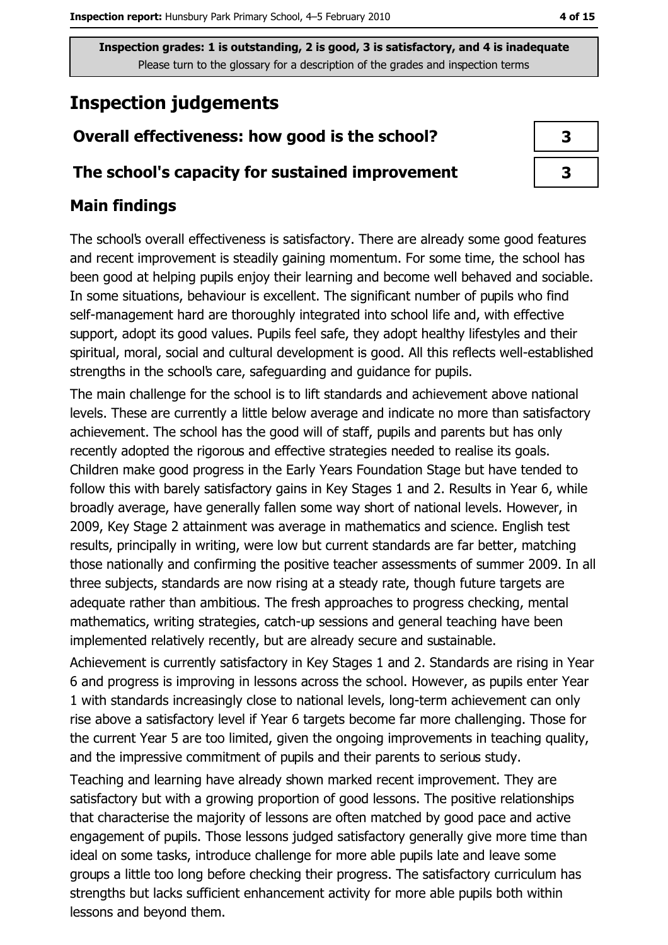# **Inspection judgements**

# Overall effectiveness: how good is the school?

### The school's capacity for sustained improvement

## **Main findings**

The school's overall effectiveness is satisfactory. There are already some good features and recent improvement is steadily gaining momentum. For some time, the school has been good at helping pupils enjoy their learning and become well behaved and sociable. In some situations, behaviour is excellent. The significant number of pupils who find self-management hard are thoroughly integrated into school life and, with effective support, adopt its good values. Pupils feel safe, they adopt healthy lifestyles and their spiritual, moral, social and cultural development is good. All this reflects well-established strengths in the school's care, safeguarding and guidance for pupils.

The main challenge for the school is to lift standards and achievement above national levels. These are currently a little below average and indicate no more than satisfactory achievement. The school has the good will of staff, pupils and parents but has only recently adopted the rigorous and effective strategies needed to realise its goals. Children make good progress in the Early Years Foundation Stage but have tended to follow this with barely satisfactory gains in Key Stages 1 and 2. Results in Year 6, while broadly average, have generally fallen some way short of national levels. However, in 2009, Key Stage 2 attainment was average in mathematics and science. English test results, principally in writing, were low but current standards are far better, matching those nationally and confirming the positive teacher assessments of summer 2009. In all three subjects, standards are now rising at a steady rate, though future targets are adequate rather than ambitious. The fresh approaches to progress checking, mental mathematics, writing strategies, catch-up sessions and general teaching have been implemented relatively recently, but are already secure and sustainable.

Achievement is currently satisfactory in Key Stages 1 and 2. Standards are rising in Year 6 and progress is improving in lessons across the school. However, as pupils enter Year 1 with standards increasingly close to national levels, long-term achievement can only rise above a satisfactory level if Year 6 targets become far more challenging. Those for the current Year 5 are too limited, given the ongoing improvements in teaching quality, and the impressive commitment of pupils and their parents to serious study.

Teaching and learning have already shown marked recent improvement. They are satisfactory but with a growing proportion of good lessons. The positive relationships that characterise the majority of lessons are often matched by good pace and active engagement of pupils. Those lessons judged satisfactory generally give more time than ideal on some tasks, introduce challenge for more able pupils late and leave some groups a little too long before checking their progress. The satisfactory curriculum has strengths but lacks sufficient enhancement activity for more able pupils both within lessons and beyond them.

| 3 |
|---|
| 3 |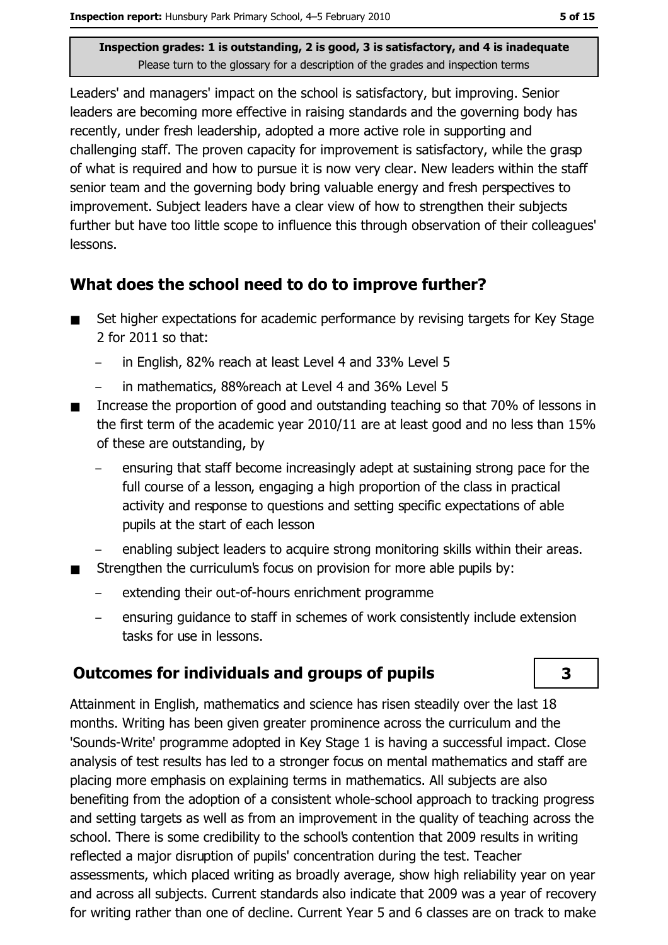Leaders' and managers' impact on the school is satisfactory, but improving. Senior leaders are becoming more effective in raising standards and the governing body has recently, under fresh leadership, adopted a more active role in supporting and challenging staff. The proven capacity for improvement is satisfactory, while the grasp of what is required and how to pursue it is now very clear. New leaders within the staff senior team and the governing body bring valuable energy and fresh perspectives to improvement. Subject leaders have a clear view of how to strengthen their subjects further but have too little scope to influence this through observation of their colleagues' lessons.

### What does the school need to do to improve further?

- Set higher expectations for academic performance by revising targets for Key Stage  $\blacksquare$ 2 for 2011 so that:
	- in English, 82% reach at least Level 4 and 33% Level 5
	- in mathematics, 88% reach at Level 4 and 36% Level 5  $\overline{\phantom{0}}$
- Increase the proportion of good and outstanding teaching so that 70% of lessons in  $\blacksquare$ the first term of the academic year 2010/11 are at least good and no less than 15% of these are outstanding, by
	- ensuring that staff become increasingly adept at sustaining strong pace for the full course of a lesson, engaging a high proportion of the class in practical activity and response to questions and setting specific expectations of able pupils at the start of each lesson
	- enabling subject leaders to acquire strong monitoring skills within their areas.
- Strengthen the curriculums focus on provision for more able pupils by:
	- extending their out-of-hours enrichment programme
	- ensuring guidance to staff in schemes of work consistently include extension tasks for use in lessons.

# **Outcomes for individuals and groups of pupils**

Attainment in English, mathematics and science has risen steadily over the last 18 months. Writing has been given greater prominence across the curriculum and the 'Sounds-Write' programme adopted in Key Stage 1 is having a successful impact. Close analysis of test results has led to a stronger focus on mental mathematics and staff are placing more emphasis on explaining terms in mathematics. All subjects are also benefiting from the adoption of a consistent whole-school approach to tracking progress and setting targets as well as from an improvement in the quality of teaching across the school. There is some credibility to the school's contention that 2009 results in writing reflected a major disruption of pupils' concentration during the test. Teacher assessments, which placed writing as broadly average, show high reliability year on year and across all subjects. Current standards also indicate that 2009 was a year of recovery for writing rather than one of decline. Current Year 5 and 6 classes are on track to make

3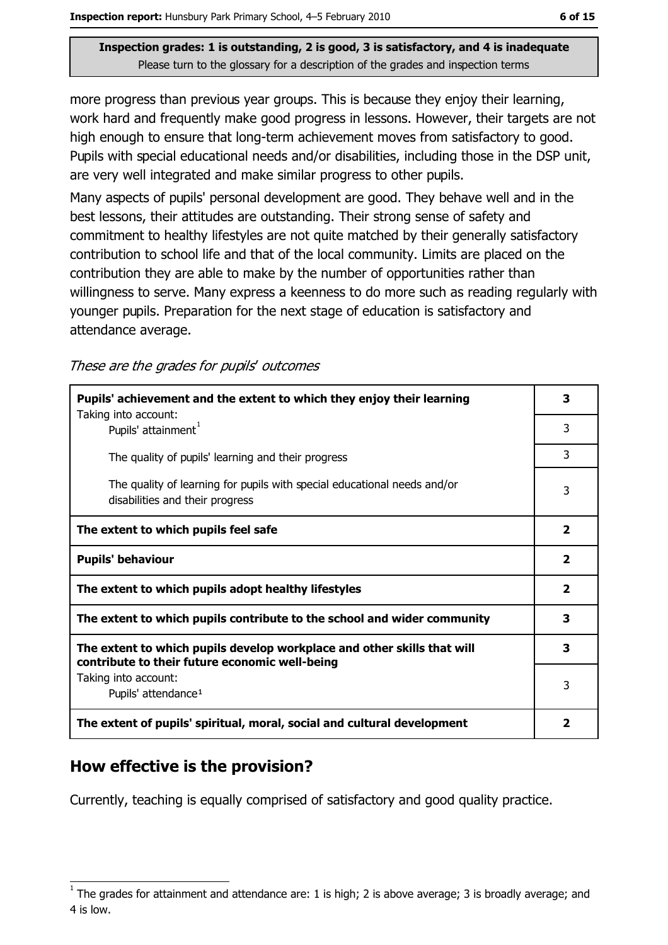more progress than previous year groups. This is because they enjoy their learning, work hard and frequently make good progress in lessons. However, their targets are not high enough to ensure that long-term achievement moves from satisfactory to good. Pupils with special educational needs and/or disabilities, including those in the DSP unit, are very well integrated and make similar progress to other pupils.

Many aspects of pupils' personal development are good. They behave well and in the best lessons, their attitudes are outstanding. Their strong sense of safety and commitment to healthy lifestyles are not quite matched by their generally satisfactory contribution to school life and that of the local community. Limits are placed on the contribution they are able to make by the number of opportunities rather than willingness to serve. Many express a keenness to do more such as reading regularly with younger pupils. Preparation for the next stage of education is satisfactory and attendance average.

#### These are the grades for pupils' outcomes

| Pupils' achievement and the extent to which they enjoy their learning<br>Taking into account:                             |                         |
|---------------------------------------------------------------------------------------------------------------------------|-------------------------|
| Pupils' attainment <sup>1</sup>                                                                                           | 3                       |
| The quality of pupils' learning and their progress                                                                        | 3                       |
| The quality of learning for pupils with special educational needs and/or<br>disabilities and their progress               | 3                       |
| The extent to which pupils feel safe                                                                                      | $\overline{\mathbf{2}}$ |
| <b>Pupils' behaviour</b>                                                                                                  | $\overline{2}$          |
| The extent to which pupils adopt healthy lifestyles                                                                       | $\overline{2}$          |
| The extent to which pupils contribute to the school and wider community                                                   | 3                       |
| The extent to which pupils develop workplace and other skills that will<br>contribute to their future economic well-being | 3                       |
| Taking into account:                                                                                                      |                         |
| Pupils' attendance <sup>1</sup>                                                                                           | 3                       |
| The extent of pupils' spiritual, moral, social and cultural development                                                   | $\overline{2}$          |

## How effective is the provision?

Currently, teaching is equally comprised of satisfactory and good quality practice.

The grades for attainment and attendance are: 1 is high; 2 is above average; 3 is broadly average; and 4 is low.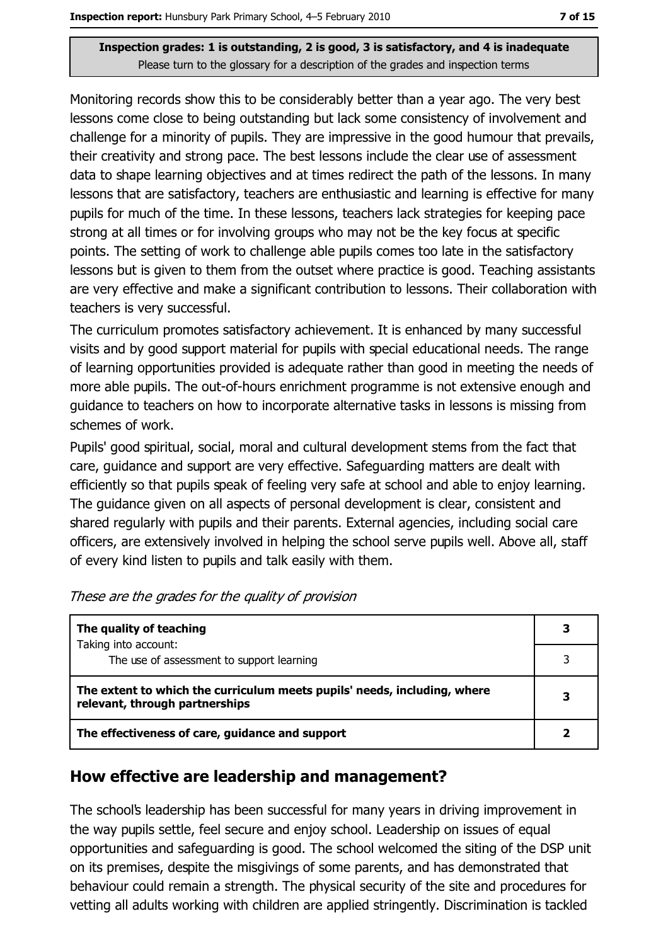Monitoring records show this to be considerably better than a year ago. The very best lessons come close to being outstanding but lack some consistency of involvement and challenge for a minority of pupils. They are impressive in the good humour that prevails, their creativity and strong pace. The best lessons include the clear use of assessment data to shape learning objectives and at times redirect the path of the lessons. In many lessons that are satisfactory, teachers are enthusiastic and learning is effective for many pupils for much of the time. In these lessons, teachers lack strategies for keeping pace strong at all times or for involving groups who may not be the key focus at specific points. The setting of work to challenge able pupils comes too late in the satisfactory lessons but is given to them from the outset where practice is good. Teaching assistants are very effective and make a significant contribution to lessons. Their collaboration with teachers is very successful.

The curriculum promotes satisfactory achievement. It is enhanced by many successful visits and by good support material for pupils with special educational needs. The range of learning opportunities provided is adequate rather than good in meeting the needs of more able pupils. The out-of-hours enrichment programme is not extensive enough and guidance to teachers on how to incorporate alternative tasks in lessons is missing from schemes of work.

Pupils' good spiritual, social, moral and cultural development stems from the fact that care, quidance and support are very effective. Safeguarding matters are dealt with efficiently so that pupils speak of feeling very safe at school and able to enjoy learning. The quidance given on all aspects of personal development is clear, consistent and shared regularly with pupils and their parents. External agencies, including social care officers, are extensively involved in helping the school serve pupils well. Above all, staff of every kind listen to pupils and talk easily with them.

| The quality of teaching                                                                                    |  |
|------------------------------------------------------------------------------------------------------------|--|
| Taking into account:<br>The use of assessment to support learning                                          |  |
| The extent to which the curriculum meets pupils' needs, including, where<br>relevant, through partnerships |  |
| The effectiveness of care, guidance and support                                                            |  |

These are the grades for the quality of provision

### How effective are leadership and management?

The school's leadership has been successful for many years in driving improvement in the way pupils settle, feel secure and enjoy school. Leadership on issues of equal opportunities and safeguarding is good. The school welcomed the siting of the DSP unit on its premises, despite the misgivings of some parents, and has demonstrated that behaviour could remain a strength. The physical security of the site and procedures for vetting all adults working with children are applied stringently. Discrimination is tackled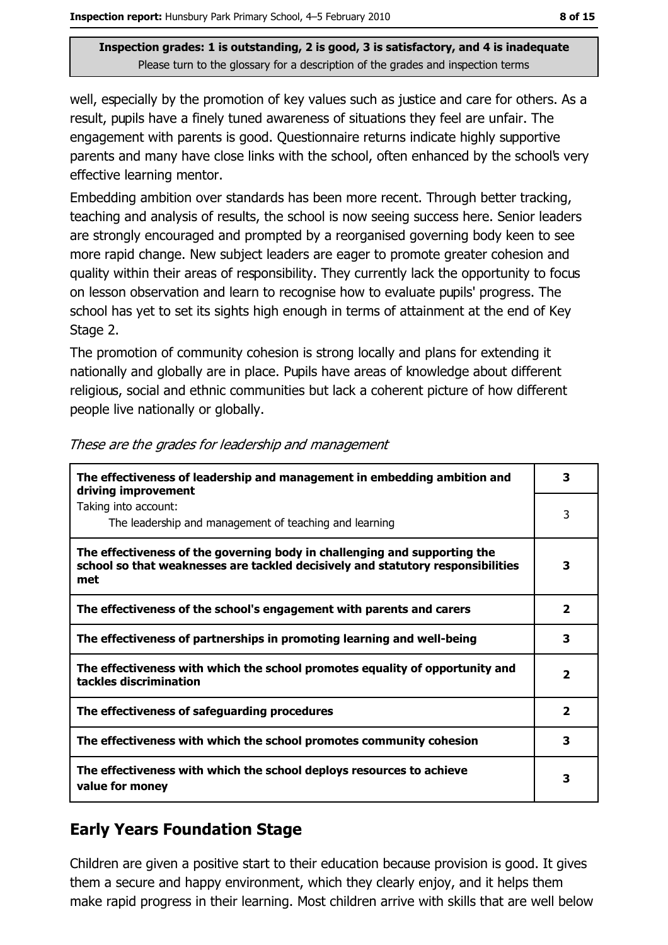well, especially by the promotion of key values such as justice and care for others. As a result, pupils have a finely tuned awareness of situations they feel are unfair. The engagement with parents is good. Questionnaire returns indicate highly supportive parents and many have close links with the school, often enhanced by the school's very effective learning mentor.

Embedding ambition over standards has been more recent. Through better tracking, teaching and analysis of results, the school is now seeing success here. Senior leaders are strongly encouraged and prompted by a reorganised governing body keen to see more rapid change. New subject leaders are eager to promote greater cohesion and quality within their areas of responsibility. They currently lack the opportunity to focus on lesson observation and learn to recognise how to evaluate pupils' progress. The school has yet to set its sights high enough in terms of attainment at the end of Key Stage 2.

The promotion of community cohesion is strong locally and plans for extending it nationally and globally are in place. Pupils have areas of knowledge about different religious, social and ethnic communities but lack a coherent picture of how different people live nationally or globally.

| The effectiveness of leadership and management in embedding ambition and<br>driving improvement                                                                     | 3                       |
|---------------------------------------------------------------------------------------------------------------------------------------------------------------------|-------------------------|
| Taking into account:<br>The leadership and management of teaching and learning                                                                                      | 3                       |
| The effectiveness of the governing body in challenging and supporting the<br>school so that weaknesses are tackled decisively and statutory responsibilities<br>met | 3                       |
| The effectiveness of the school's engagement with parents and carers                                                                                                | 2                       |
| The effectiveness of partnerships in promoting learning and well-being                                                                                              | 3                       |
| The effectiveness with which the school promotes equality of opportunity and<br>tackles discrimination                                                              | $\overline{\mathbf{2}}$ |
| The effectiveness of safeguarding procedures                                                                                                                        | 2                       |
| The effectiveness with which the school promotes community cohesion                                                                                                 | 3                       |
| The effectiveness with which the school deploys resources to achieve<br>value for money                                                                             | з                       |

|  | These are the grades for leadership and management |  |
|--|----------------------------------------------------|--|
|  |                                                    |  |

## **Early Years Foundation Stage**

Children are given a positive start to their education because provision is good. It gives them a secure and happy environment, which they clearly enjoy, and it helps them make rapid progress in their learning. Most children arrive with skills that are well below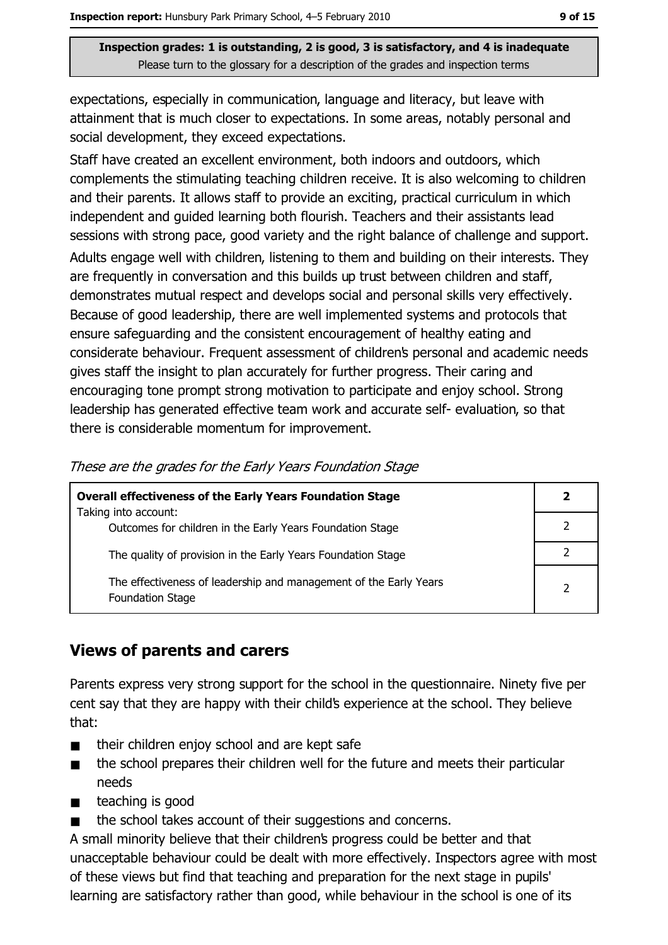expectations, especially in communication, language and literacy, but leave with attainment that is much closer to expectations. In some areas, notably personal and social development, they exceed expectations.

Staff have created an excellent environment, both indoors and outdoors, which complements the stimulating teaching children receive. It is also welcoming to children and their parents. It allows staff to provide an exciting, practical curriculum in which independent and quided learning both flourish. Teachers and their assistants lead sessions with strong pace, good variety and the right balance of challenge and support. Adults engage well with children, listening to them and building on their interests. They are frequently in conversation and this builds up trust between children and staff, demonstrates mutual respect and develops social and personal skills very effectively. Because of good leadership, there are well implemented systems and protocols that ensure safeguarding and the consistent encouragement of healthy eating and considerate behaviour. Frequent assessment of children's personal and academic needs gives staff the insight to plan accurately for further progress. Their caring and encouraging tone prompt strong motivation to participate and enjoy school. Strong leadership has generated effective team work and accurate self-evaluation, so that there is considerable momentum for improvement.

| <b>Overall effectiveness of the Early Years Foundation Stage</b>                             |                |
|----------------------------------------------------------------------------------------------|----------------|
| Taking into account:<br>Outcomes for children in the Early Years Foundation Stage            |                |
| The quality of provision in the Early Years Foundation Stage                                 |                |
| The effectiveness of leadership and management of the Early Years<br><b>Foundation Stage</b> | $\overline{2}$ |

## **Views of parents and carers**

Parents express very strong support for the school in the questionnaire. Ninety five per cent say that they are happy with their child's experience at the school. They believe that:

- their children enjoy school and are kept safe  $\blacksquare$
- the school prepares their children well for the future and meets their particular  $\blacksquare$ needs
- teaching is good  $\blacksquare$
- the school takes account of their suggestions and concerns.  $\blacksquare$

A small minority believe that their children's progress could be better and that unacceptable behaviour could be dealt with more effectively. Inspectors agree with most of these views but find that teaching and preparation for the next stage in pupils' learning are satisfactory rather than good, while behaviour in the school is one of its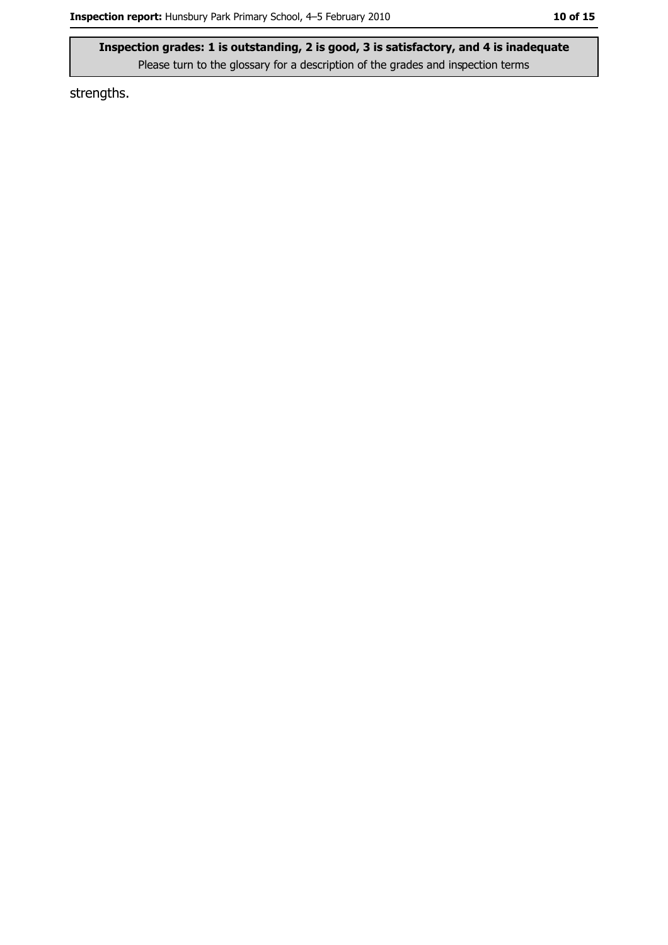strengths.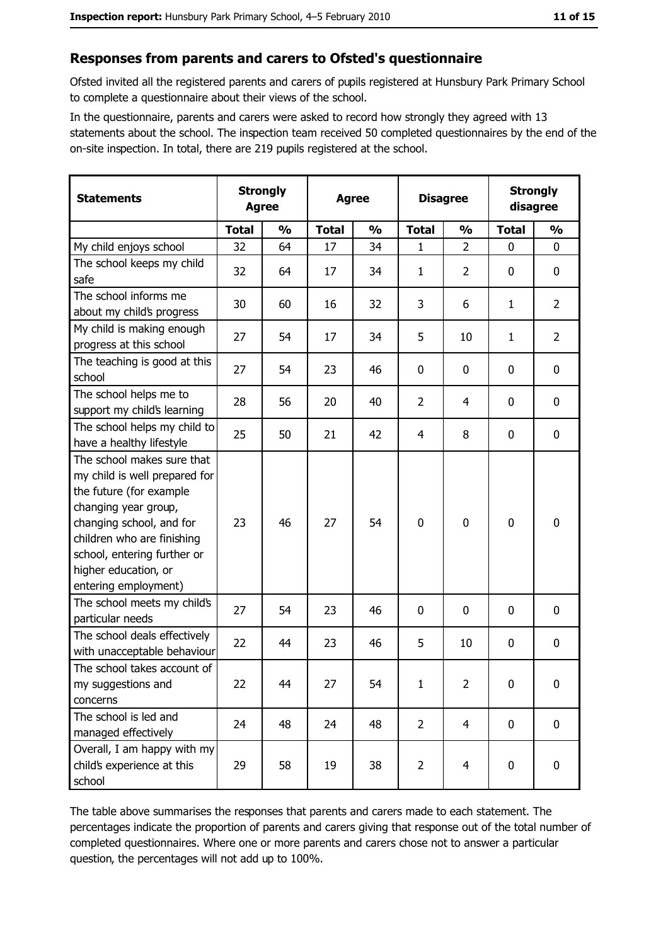#### Responses from parents and carers to Ofsted's questionnaire

Ofsted invited all the registered parents and carers of pupils registered at Hunsbury Park Primary School to complete a questionnaire about their views of the school.

In the questionnaire, parents and carers were asked to record how strongly they agreed with 13 statements about the school. The inspection team received 50 completed questionnaires by the end of the on-site inspection. In total, there are 219 pupils registered at the school.

| <b>Statements</b>                                                                                                                                                                                                                                       | <b>Strongly</b><br><b>Agree</b> |               | <b>Agree</b> |               | <b>Disagree</b> |                         | <b>Strongly</b><br>disagree |                |
|---------------------------------------------------------------------------------------------------------------------------------------------------------------------------------------------------------------------------------------------------------|---------------------------------|---------------|--------------|---------------|-----------------|-------------------------|-----------------------------|----------------|
|                                                                                                                                                                                                                                                         | <b>Total</b>                    | $\frac{0}{0}$ | <b>Total</b> | $\frac{0}{0}$ | <b>Total</b>    | $\frac{0}{0}$           | <b>Total</b>                | $\frac{0}{0}$  |
| My child enjoys school                                                                                                                                                                                                                                  | 32                              | 64            | 17           | 34            | 1               | $\overline{2}$          | $\mathbf 0$                 | $\mathbf 0$    |
| The school keeps my child<br>safe                                                                                                                                                                                                                       | 32                              | 64            | 17           | 34            | $\mathbf{1}$    | $\overline{2}$          | 0                           | $\mathbf 0$    |
| The school informs me<br>about my child's progress                                                                                                                                                                                                      | 30                              | 60            | 16           | 32            | 3               | 6                       | 1                           | $\overline{2}$ |
| My child is making enough<br>progress at this school                                                                                                                                                                                                    | 27                              | 54            | 17           | 34            | 5               | 10                      | 1                           | $\overline{2}$ |
| The teaching is good at this<br>school                                                                                                                                                                                                                  | 27                              | 54            | 23           | 46            | $\mathbf 0$     | 0                       | 0                           | $\mathbf 0$    |
| The school helps me to<br>support my child's learning                                                                                                                                                                                                   | 28                              | 56            | 20           | 40            | $\overline{2}$  | 4                       | 0                           | $\mathbf 0$    |
| The school helps my child to<br>have a healthy lifestyle                                                                                                                                                                                                | 25                              | 50            | 21           | 42            | $\overline{4}$  | 8                       | 0                           | $\mathbf 0$    |
| The school makes sure that<br>my child is well prepared for<br>the future (for example<br>changing year group,<br>changing school, and for<br>children who are finishing<br>school, entering further or<br>higher education, or<br>entering employment) | 23                              | 46            | 27           | 54            | $\mathbf 0$     | 0                       | 0                           | $\mathbf 0$    |
| The school meets my child's<br>particular needs                                                                                                                                                                                                         | 27                              | 54            | 23           | 46            | 0               | 0                       | 0                           | $\bf{0}$       |
| The school deals effectively<br>with unacceptable behaviour                                                                                                                                                                                             | 22                              | 44            | 23           | 46            | 5               | 10                      | 0                           | 0              |
| The school takes account of<br>my suggestions and<br>concerns                                                                                                                                                                                           | 22                              | 44            | 27           | 54            | $\mathbf{1}$    | $\overline{2}$          | $\mathbf 0$                 | $\mathbf 0$    |
| The school is led and<br>managed effectively                                                                                                                                                                                                            | 24                              | 48            | 24           | 48            | $\overline{2}$  | $\overline{4}$          | $\bf{0}$                    | $\mathbf 0$    |
| Overall, I am happy with my<br>child's experience at this<br>school                                                                                                                                                                                     | 29                              | 58            | 19           | 38            | $\overline{2}$  | $\overline{\mathbf{4}}$ | 0                           | 0              |

The table above summarises the responses that parents and carers made to each statement. The percentages indicate the proportion of parents and carers giving that response out of the total number of completed questionnaires. Where one or more parents and carers chose not to answer a particular question, the percentages will not add up to 100%.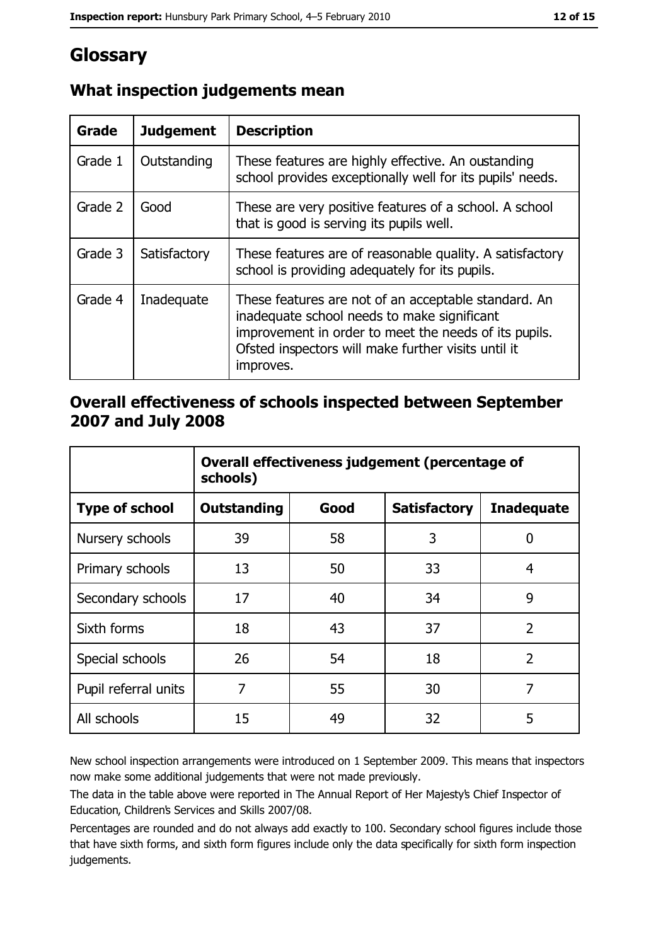# Glossary

| Grade   | <b>Judgement</b> | <b>Description</b>                                                                                                                                                                                                               |
|---------|------------------|----------------------------------------------------------------------------------------------------------------------------------------------------------------------------------------------------------------------------------|
| Grade 1 | Outstanding      | These features are highly effective. An oustanding<br>school provides exceptionally well for its pupils' needs.                                                                                                                  |
| Grade 2 | Good             | These are very positive features of a school. A school<br>that is good is serving its pupils well.                                                                                                                               |
| Grade 3 | Satisfactory     | These features are of reasonable quality. A satisfactory<br>school is providing adequately for its pupils.                                                                                                                       |
| Grade 4 | Inadequate       | These features are not of an acceptable standard. An<br>inadequate school needs to make significant<br>improvement in order to meet the needs of its pupils.<br>Ofsted inspectors will make further visits until it<br>improves. |

# What inspection judgements mean

# Overall effectiveness of schools inspected between September 2007 and July 2008

|                       | Overall effectiveness judgement (percentage of<br>schools) |      |                     |                   |
|-----------------------|------------------------------------------------------------|------|---------------------|-------------------|
| <b>Type of school</b> | <b>Outstanding</b>                                         | Good | <b>Satisfactory</b> | <b>Inadequate</b> |
| Nursery schools       | 39                                                         | 58   | 3                   | 0                 |
| Primary schools       | 13                                                         | 50   | 33                  | 4                 |
| Secondary schools     | 17                                                         | 40   | 34                  | 9                 |
| Sixth forms           | 18                                                         | 43   | 37                  | $\overline{2}$    |
| Special schools       | 26                                                         | 54   | 18                  | $\overline{2}$    |
| Pupil referral units  | 7                                                          | 55   | 30                  | 7                 |
| All schools           | 15                                                         | 49   | 32                  | 5                 |

New school inspection arrangements were introduced on 1 September 2009. This means that inspectors now make some additional judgements that were not made previously.

The data in the table above were reported in The Annual Report of Her Majesty's Chief Inspector of Education, Children's Services and Skills 2007/08.

Percentages are rounded and do not always add exactly to 100. Secondary school figures include those that have sixth forms, and sixth form figures include only the data specifically for sixth form inspection judgements.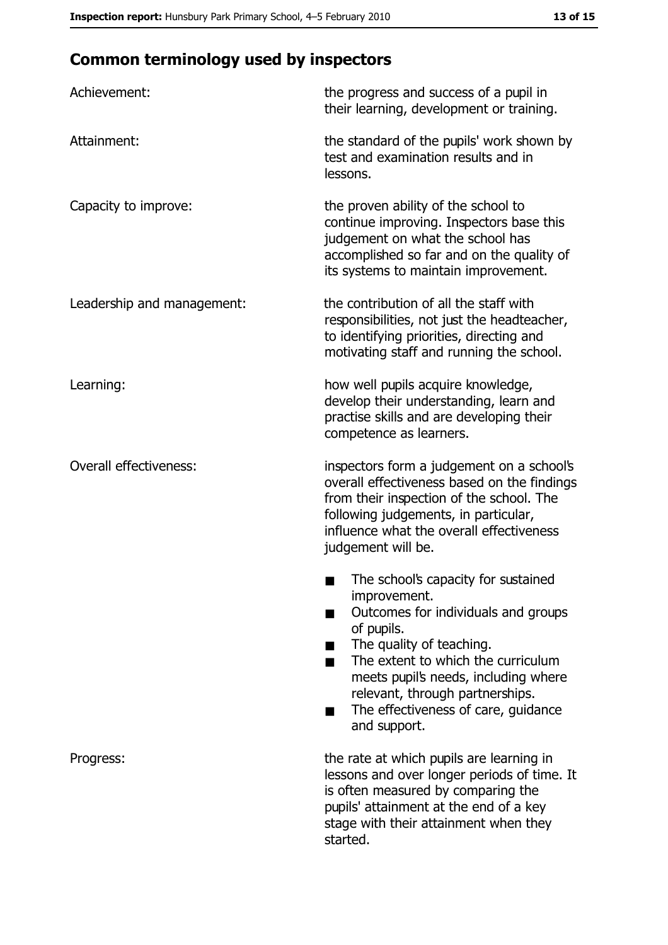# **Common terminology used by inspectors**

| Achievement:                  | the progress and success of a pupil in<br>their learning, development or training.                                                                                                                                                                                                                           |  |
|-------------------------------|--------------------------------------------------------------------------------------------------------------------------------------------------------------------------------------------------------------------------------------------------------------------------------------------------------------|--|
| Attainment:                   | the standard of the pupils' work shown by<br>test and examination results and in<br>lessons.                                                                                                                                                                                                                 |  |
| Capacity to improve:          | the proven ability of the school to<br>continue improving. Inspectors base this<br>judgement on what the school has<br>accomplished so far and on the quality of<br>its systems to maintain improvement.                                                                                                     |  |
| Leadership and management:    | the contribution of all the staff with<br>responsibilities, not just the headteacher,<br>to identifying priorities, directing and<br>motivating staff and running the school.                                                                                                                                |  |
| Learning:                     | how well pupils acquire knowledge,<br>develop their understanding, learn and<br>practise skills and are developing their<br>competence as learners.                                                                                                                                                          |  |
| <b>Overall effectiveness:</b> | inspectors form a judgement on a school's<br>overall effectiveness based on the findings<br>from their inspection of the school. The<br>following judgements, in particular,<br>influence what the overall effectiveness<br>judgement will be.                                                               |  |
|                               | The school's capacity for sustained<br>improvement.<br>Outcomes for individuals and groups<br>of pupils.<br>The quality of teaching.<br>The extent to which the curriculum<br>meets pupil's needs, including where<br>relevant, through partnerships.<br>The effectiveness of care, guidance<br>and support. |  |
| Progress:                     | the rate at which pupils are learning in<br>lessons and over longer periods of time. It<br>is often measured by comparing the<br>pupils' attainment at the end of a key<br>stage with their attainment when they<br>started.                                                                                 |  |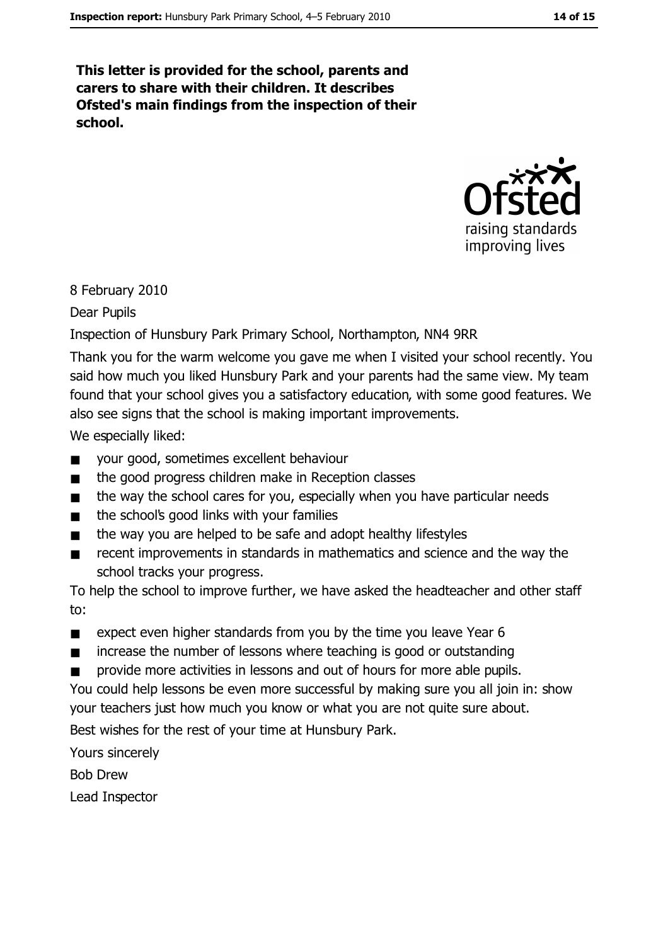This letter is provided for the school, parents and carers to share with their children. It describes Ofsted's main findings from the inspection of their school.



#### 8 February 2010

Dear Pupils

#### Inspection of Hunsbury Park Primary School, Northampton, NN4 9RR

Thank you for the warm welcome you gave me when I visited your school recently. You said how much you liked Hunsbury Park and your parents had the same view. My team found that your school gives you a satisfactory education, with some good features. We also see signs that the school is making important improvements.

We especially liked:

- $\blacksquare$ your good, sometimes excellent behaviour
- the good progress children make in Reception classes  $\blacksquare$
- $\blacksquare$ the way the school cares for you, especially when you have particular needs
- the school's good links with your families  $\blacksquare$
- the way you are helped to be safe and adopt healthy lifestyles  $\blacksquare$
- recent improvements in standards in mathematics and science and the way the  $\blacksquare$ school tracks your progress.

To help the school to improve further, we have asked the headteacher and other staff to:

- expect even higher standards from you by the time you leave Year 6  $\blacksquare$
- increase the number of lessons where teaching is good or outstanding  $\blacksquare$
- provide more activities in lessons and out of hours for more able pupils.

You could help lessons be even more successful by making sure you all join in: show your teachers just how much you know or what you are not quite sure about.

Best wishes for the rest of your time at Hunsbury Park.

Yours sincerely

**Bob Drew** 

Lead Inspector